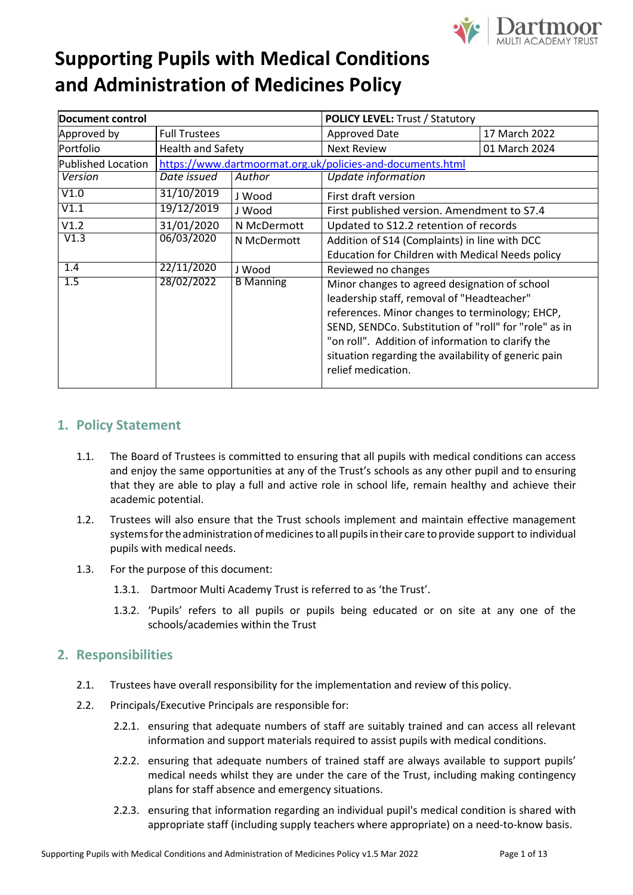

| Document control   |                                                            | <b>POLICY LEVEL: Trust / Statutory</b> |                                                       |               |  |
|--------------------|------------------------------------------------------------|----------------------------------------|-------------------------------------------------------|---------------|--|
| Approved by        | <b>Full Trustees</b>                                       |                                        | <b>Approved Date</b>                                  | 17 March 2022 |  |
| Portfolio          | <b>Health and Safety</b>                                   |                                        | <b>Next Review</b>                                    | 01 March 2024 |  |
| Published Location | https://www.dartmoormat.org.uk/policies-and-documents.html |                                        |                                                       |               |  |
| Version            | Date issued                                                | Author                                 | Update information                                    |               |  |
| V1.0               | 31/10/2019                                                 | J Wood                                 | First draft version                                   |               |  |
| V1.1               | 19/12/2019                                                 | J Wood                                 | First published version. Amendment to S7.4            |               |  |
| V1.2               | 31/01/2020                                                 | N McDermott                            | Updated to S12.2 retention of records                 |               |  |
| V1.3               | 06/03/2020                                                 | N McDermott                            | Addition of S14 (Complaints) in line with DCC         |               |  |
|                    |                                                            |                                        | Education for Children with Medical Needs policy      |               |  |
| 1.4                | 22/11/2020                                                 | J Wood                                 | Reviewed no changes                                   |               |  |
| 1.5                | 28/02/2022                                                 | <b>B</b> Manning                       | Minor changes to agreed designation of school         |               |  |
|                    |                                                            |                                        | leadership staff, removal of "Headteacher"            |               |  |
|                    |                                                            |                                        | references. Minor changes to terminology; EHCP,       |               |  |
|                    |                                                            |                                        | SEND, SENDCo. Substitution of "roll" for "role" as in |               |  |
|                    |                                                            |                                        | "on roll". Addition of information to clarify the     |               |  |
|                    |                                                            |                                        | situation regarding the availability of generic pain  |               |  |
|                    |                                                            |                                        | relief medication.                                    |               |  |
|                    |                                                            |                                        |                                                       |               |  |

### **1. Policy Statement**

- 1.1. The Board of Trustees is committed to ensuring that all pupils with medical conditions can access and enjoy the same opportunities at any of the Trust's schools as any other pupil and to ensuring that they are able to play a full and active role in school life, remain healthy and achieve their academic potential.
- 1.2. Trustees will also ensure that the Trust schools implement and maintain effective management systems for the administration of medicines to all pupils in their care to provide support to individual pupils with medical needs.
- 1.3. For the purpose of this document:
	- 1.3.1. Dartmoor Multi Academy Trust is referred to as 'the Trust'.
	- 1.3.2. 'Pupils' refers to all pupils or pupils being educated or on site at any one of the schools/academies within the Trust

### **2. Responsibilities**

- 2.1. Trustees have overall responsibility for the implementation and review of this policy.
- 2.2. Principals/Executive Principals are responsible for:
	- 2.2.1. ensuring that adequate numbers of staff are suitably trained and can access all relevant information and support materials required to assist pupils with medical conditions.
	- 2.2.2. ensuring that adequate numbers of trained staff are always available to support pupils' medical needs whilst they are under the care of the Trust, including making contingency plans for staff absence and emergency situations.
	- 2.2.3. ensuring that information regarding an individual pupil's medical condition is shared with appropriate staff (including supply teachers where appropriate) on a need-to-know basis.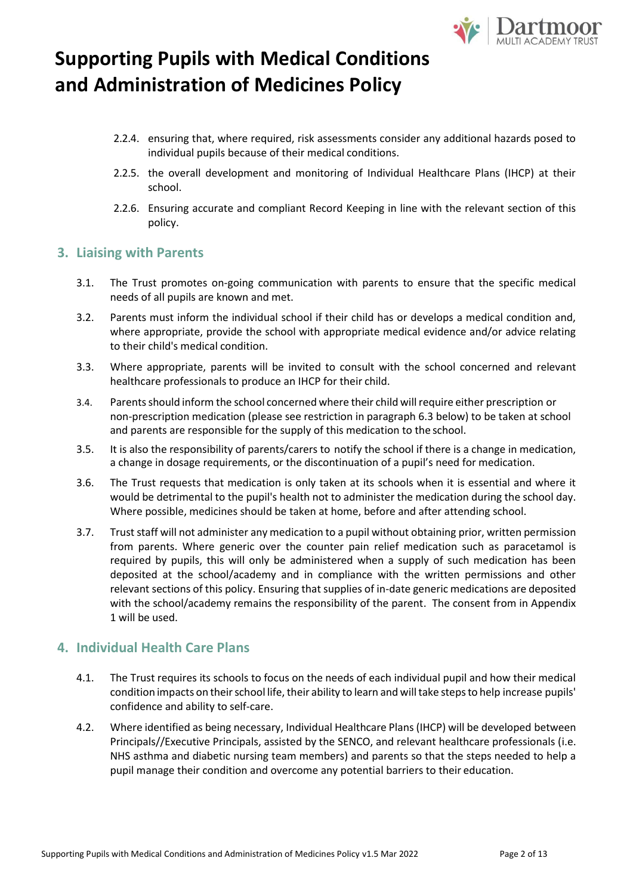

- 2.2.4. ensuring that, where required, risk assessments consider any additional hazards posed to individual pupils because of their medical conditions.
- 2.2.5. the overall development and monitoring of Individual Healthcare Plans (IHCP) at their school.
- 2.2.6. Ensuring accurate and compliant Record Keeping in line with the relevant section of this policy.

### **3. Liaising with Parents**

- 3.1. The Trust promotes on-going communication with parents to ensure that the specific medical needs of all pupils are known and met.
- 3.2. Parents must inform the individual school if their child has or develops a medical condition and, where appropriate, provide the school with appropriate medical evidence and/or advice relating to their child's medical condition.
- 3.3. Where appropriate, parents will be invited to consult with the school concerned and relevant healthcare professionals to produce an IHCP for their child.
- 3.4. Parentsshould inform the school concerned where their child willrequire either prescription or non-prescription medication (please see restriction in paragraph 6.3 below) to be taken at school and parents are responsible for the supply of this medication to the school.
- 3.5. It is also the responsibility of parents/carers to notify the school if there is a change in medication, a change in dosage requirements, or the discontinuation of a pupil's need for medication.
- 3.6. The Trust requests that medication is only taken at its schools when it is essential and where it would be detrimental to the pupil's health not to administer the medication during the school day. Where possible, medicines should be taken at home, before and after attending school.
- 3.7. Trust staff will not administer any medication to a pupil without obtaining prior, written permission from parents. Where generic over the counter pain relief medication such as paracetamol is required by pupils, this will only be administered when a supply of such medication has been deposited at the school/academy and in compliance with the written permissions and other relevant sections of this policy. Ensuring that supplies of in-date generic medications are deposited with the school/academy remains the responsibility of the parent. The consent from in Appendix 1 will be used.

### **4. Individual Health Care Plans**

- 4.1. The Trust requires its schools to focus on the needs of each individual pupil and how their medical condition impacts on their school life, their ability to learn and will take steps to help increase pupils' confidence and ability to self-care.
- 4.2. Where identified as being necessary, Individual Healthcare Plans (IHCP) will be developed between Principals//Executive Principals, assisted by the SENCO, and relevant healthcare professionals (i.e. NHS asthma and diabetic nursing team members) and parents so that the steps needed to help a pupil manage their condition and overcome any potential barriers to their education.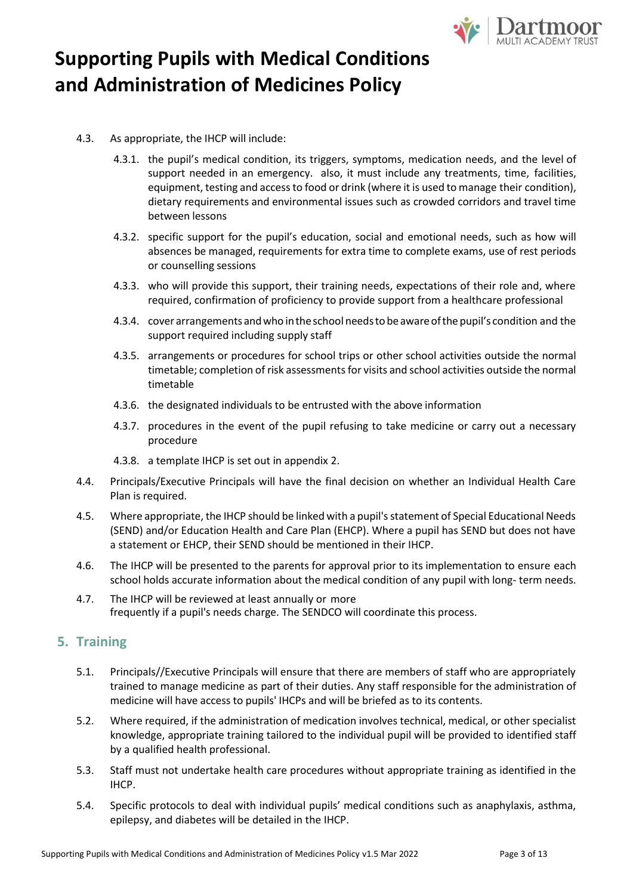

- 4.3. As appropriate, the IHCP will include:
	- 4.3.1. the pupil's medical condition, its triggers, symptoms, medication needs, and the level of support needed in an emergency. also, it must include any treatments, time, facilities, equipment, testing and accessto food or drink (where it is used to manage their condition), dietary requirements and environmental issues such as crowded corridors and travel time between lessons
	- 4.3.2. specific support for the pupil's education, social and emotional needs, such as how will absences be managed, requirements for extra time to complete exams, use of rest periods or counselling sessions
	- 4.3.3. who will provide this support, their training needs, expectations of their role and, where required, confirmation of proficiency to provide support from a healthcare professional
	- 4.3.4. cover arrangements andwho intheschool needsto beawareofthe pupil's condition and the support required including supply staff
	- 4.3.5. arrangements or procedures for school trips or other school activities outside the normal timetable; completion of risk assessments for visits and school activities outside the normal timetable
	- 4.3.6. the designated individuals to be entrusted with the above information
	- 4.3.7. procedures in the event of the pupil refusing to take medicine or carry out a necessary procedure
	- 4.3.8. a template IHCP is set out in appendix 2.
- 4.4. Principals/Executive Principals will have the final decision on whether an Individual Health Care Plan is required.
- 4.5. Where appropriate, the IHCP should be linked with a pupil's statement of Special Educational Needs (SEND) and/or Education Health and Care Plan (EHCP). Where a pupil has SEND but does not have a statement or EHCP, their SEND should be mentioned in their IHCP.
- 4.6. The IHCP will be presented to the parents for approval prior to its implementation to ensure each school holds accurate information about the medical condition of any pupil with long- term needs.
- 4.7. The IHCP will be reviewed at least annually or more frequently if a pupil's needs charge. The SENDCO will coordinate this process.

### **5. Training**

- 5.1. Principals//Executive Principals will ensure that there are members of staff who are appropriately trained to manage medicine as part of their duties. Any staff responsible for the administration of medicine will have access to pupils' IHCPs and will be briefed as to its contents.
- 5.2. Where required, if the administration of medication involves technical, medical, or other specialist knowledge, appropriate training tailored to the individual pupil will be provided to identified staff by a qualified health professional.
- 5.3. Staff must not undertake health care procedures without appropriate training as identified in the IHCP.
- 5.4. Specific protocols to deal with individual pupils' medical conditions such as anaphylaxis, asthma, epilepsy, and diabetes will be detailed in the IHCP.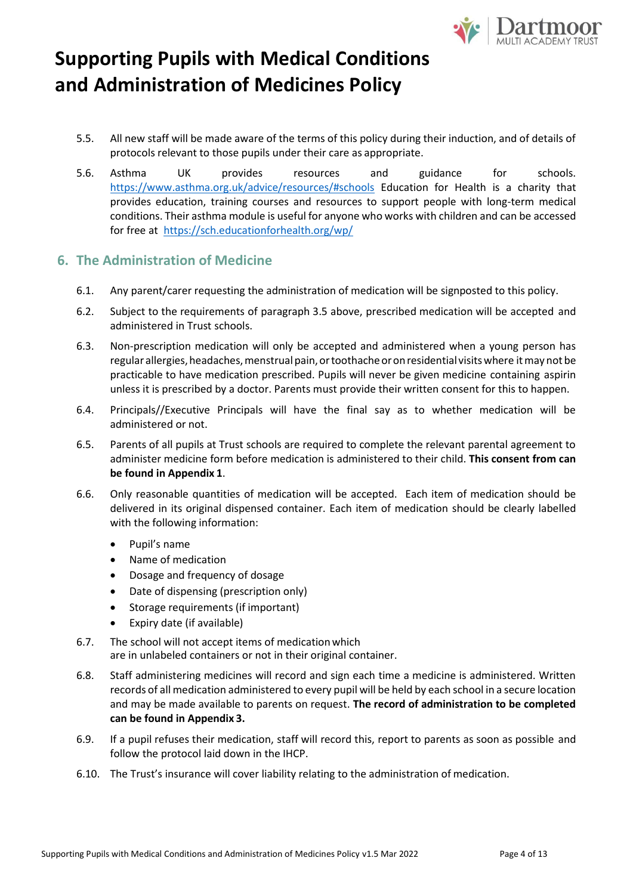

- 5.5. All new staff will be made aware of the terms of this policy during their induction, and of details of protocols relevant to those pupils under their care as appropriate.
- 5.6. Asthma UK provides resources and guidance for schools[.](https://www.asthma.org.uk/advice/resources/#schools) <https://www.asthma.org.uk/advice/resources/#schools> Education for Health is a charity that provides education, training courses and resources to support people with long-term medical conditions. Their asthma module is useful for anyone who works with children and can be accessed for free at <https://sch.educationforhealth.org/wp/>

### **6. The Administration of Medicine**

- 6.1. Any parent/carer requesting the administration of medication will be signposted to this policy.
- 6.2. Subject to the requirements of paragraph 3.5 above, prescribed medication will be accepted and administered in Trust schools.
- 6.3. Non-prescription medication will only be accepted and administered when a young person has regular allergies, headaches, menstrual pain, or toothache or on residential visits where it may not be practicable to have medication prescribed. Pupils will never be given medicine containing aspirin unless it is prescribed by a doctor. Parents must provide their written consent for this to happen.
- 6.4. Principals//Executive Principals will have the final say as to whether medication will be administered or not.
- 6.5. Parents of all pupils at Trust schools are required to complete the relevant parental agreement to administer medicine form before medication is administered to their child. **This consent from can be found in Appendix 1**.
- 6.6. Only reasonable quantities of medication will be accepted. Each item of medication should be delivered in its original dispensed container. Each item of medication should be clearly labelled with the following information:
	- Pupil's name
	- Name of medication
	- Dosage and frequency of dosage
	- Date of dispensing (prescription only)
	- Storage requirements (if important)
	- Expiry date (if available)
- 6.7. The school will not accept items of medicationwhich are in unlabeled containers or not in their original container.
- 6.8. Staff administering medicines will record and sign each time a medicine is administered. Written records of all medication administered to every pupil will be held by each school in a secure location and may be made available to parents on request. **The record of administration to be completed can be found in Appendix 3.**
- 6.9. If a pupil refuses their medication, staff will record this, report to parents as soon as possible and follow the protocol laid down in the IHCP.
- 6.10. The Trust's insurance will cover liability relating to the administration of medication.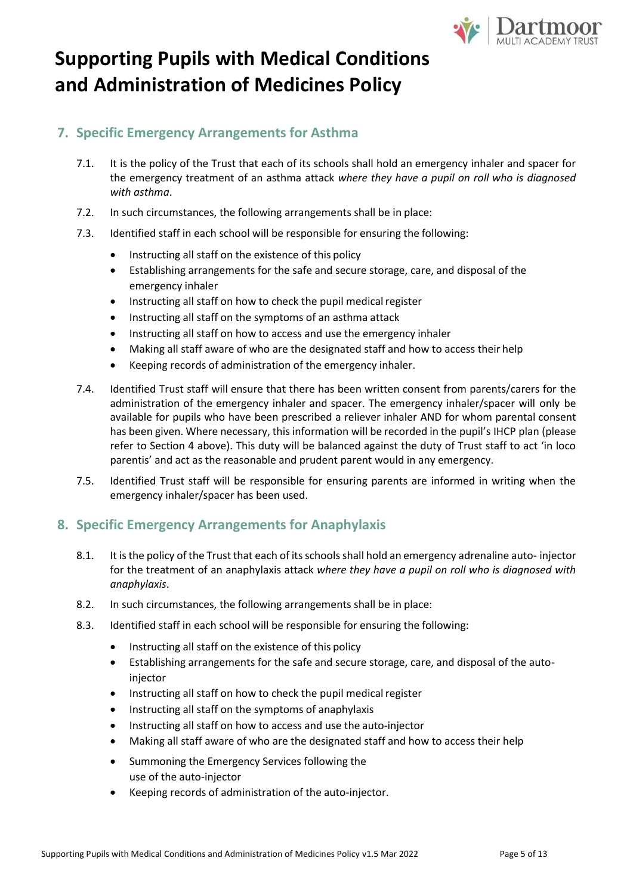

### **7. Specific Emergency Arrangements for Asthma**

- 7.1. It is the policy of the Trust that each of its schools shall hold an emergency inhaler and spacer for the emergency treatment of an asthma attack *where they have a pupil on roll who is diagnosed with asthma*.
- 7.2. In such circumstances, the following arrangements shall be in place:
- 7.3. Identified staff in each school will be responsible for ensuring the following:
	- Instructing all staff on the existence of this policy
	- Establishing arrangements for the safe and secure storage, care, and disposal of the emergency inhaler
	- Instructing all staff on how to check the pupil medical register
	- Instructing all staff on the symptoms of an asthma attack
	- Instructing all staff on how to access and use the emergency inhaler
	- Making all staff aware of who are the designated staff and how to access their help
	- Keeping records of administration of the emergency inhaler.
- 7.4. Identified Trust staff will ensure that there has been written consent from parents/carers for the administration of the emergency inhaler and spacer. The emergency inhaler/spacer will only be available for pupils who have been prescribed a reliever inhaler AND for whom parental consent has been given. Where necessary, this information will be recorded in the pupil's IHCP plan (please refer to Section 4 above). This duty will be balanced against the duty of Trust staff to act 'in loco parentis' and act as the reasonable and prudent parent would in any emergency.
- 7.5. Identified Trust staff will be responsible for ensuring parents are informed in writing when the emergency inhaler/spacer has been used.

### **8. Specific Emergency Arrangements for Anaphylaxis**

- 8.1. It is the policy of the Trust that each of its schools shall hold an emergency adrenaline auto- injector for the treatment of an anaphylaxis attack *where they have a pupil on roll who is diagnosed with anaphylaxis*.
- 8.2. In such circumstances, the following arrangements shall be in place:
- 8.3. Identified staff in each school will be responsible for ensuring the following:
	- Instructing all staff on the existence of this policy
	- Establishing arrangements for the safe and secure storage, care, and disposal of the autoinjector
	- Instructing all staff on how to check the pupil medical register
	- Instructing all staff on the symptoms of anaphylaxis
	- Instructing all staff on how to access and use the auto-injector
	- Making all staff aware of who are the designated staff and how to access their help
	- Summoning the Emergency Services following the use of the auto-injector
	- Keeping records of administration of the auto-injector.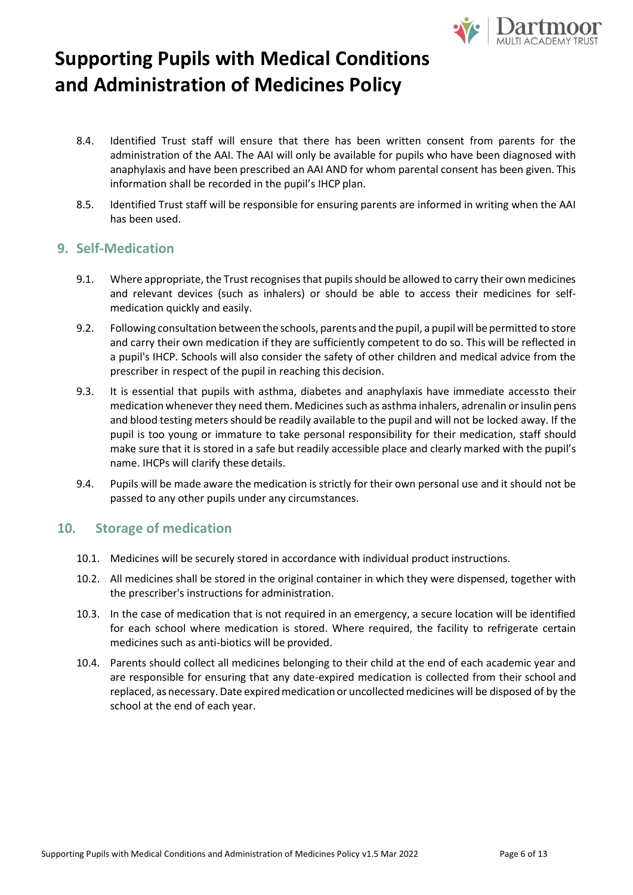

- 8.4. Identified Trust staff will ensure that there has been written consent from parents for the administration of the AAI. The AAI will only be available for pupils who have been diagnosed with anaphylaxis and have been prescribed an AAI AND for whom parental consent has been given. This information shall be recorded in the pupil's IHCP plan.
- 8.5. Identified Trust staff will be responsible for ensuring parents are informed in writing when the AAI has been used.

#### **9. Self-Medication**

- 9.1. Where appropriate, the Trust recognises that pupils should be allowed to carry their own medicines and relevant devices (such as inhalers) or should be able to access their medicines for selfmedication quickly and easily.
- 9.2. Following consultation between the schools, parents and the pupil, a pupil will be permitted to store and carry their own medication if they are sufficiently competent to do so. This will be reflected in a pupil's IHCP. Schools will also consider the safety of other children and medical advice from the prescriber in respect of the pupil in reaching this decision.
- 9.3. It is essential that pupils with asthma, diabetes and anaphylaxis have immediate accessto their medication whenever they need them. Medicines such as asthma inhalers, adrenalin orinsulin pens and blood testing meters should be readily available to the pupil and will not be locked away. If the pupil is too young or immature to take personal responsibility for their medication, staff should make sure that it is stored in a safe but readily accessible place and clearly marked with the pupil's name. IHCPs will clarify these details.
- 9.4. Pupils will be made aware the medication is strictly for their own personal use and it should not be passed to any other pupils under any circumstances.

### **10. Storage of medication**

- 10.1. Medicines will be securely stored in accordance with individual product instructions.
- 10.2. All medicines shall be stored in the original container in which they were dispensed, together with the prescriber's instructions for administration.
- 10.3. In the case of medication that is not required in an emergency, a secure location will be identified for each school where medication is stored. Where required, the facility to refrigerate certain medicines such as anti-biotics will be provided.
- 10.4. Parents should collect all medicines belonging to their child at the end of each academic year and are responsible for ensuring that any date-expired medication is collected from their school and replaced, as necessary. Date expired medication or uncollected medicines will be disposed of by the school at the end of each year.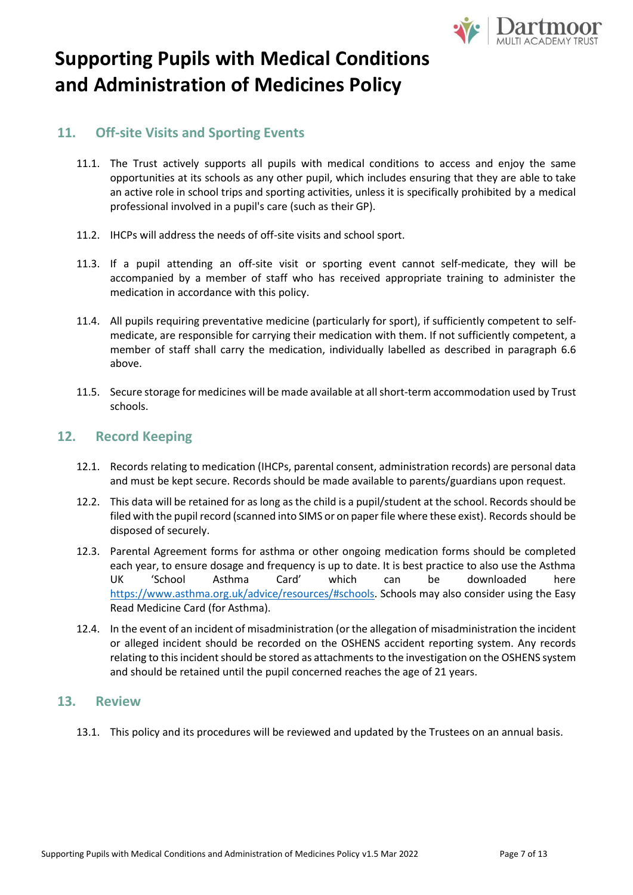

### **11. Off-site Visits and Sporting Events**

- 11.1. The Trust actively supports all pupils with medical conditions to access and enjoy the same opportunities at its schools as any other pupil, which includes ensuring that they are able to take an active role in school trips and sporting activities, unless it is specifically prohibited by a medical professional involved in a pupil's care (such as their GP).
- 11.2. IHCPs will address the needs of off-site visits and school sport.
- 11.3. If a pupil attending an off-site visit or sporting event cannot self-medicate, they will be accompanied by a member of staff who has received appropriate training to administer the medication in accordance with this policy.
- 11.4. All pupils requiring preventative medicine (particularly for sport), if sufficiently competent to selfmedicate, are responsible for carrying their medication with them. If not sufficiently competent, a member of staff shall carry the medication, individually labelled as described in paragraph 6.6 above.
- 11.5. Secure storage for medicines will be made available at allshort-term accommodation used by Trust schools.

### **12. Record Keeping**

- 12.1. Records relating to medication (IHCPs, parental consent, administration records) are personal data and must be kept secure. Records should be made available to parents/guardians upon request.
- 12.2. This data will be retained for as long as the child is a pupil/student at the school. Records should be filed with the pupil record (scanned into SIMS or on paper file where these exist). Records should be disposed of securely.
- 12.3. Parental Agreement forms for asthma or other ongoing medication forms should be completed each year, to ensure dosage and frequency is up to date. It is best practice to also use the Asthma UK 'School Asthma Card' which can be downloaded her[e](https://www.asthma.org.uk/advice/resources/#schools) [https://www.asthma.org.uk/advice/resources/#schools.](https://www.asthma.org.uk/advice/resources/#schools) Schools may also consider using the Easy Read Medicine Card (for Asthma).
- 12.4. In the event of an incident of misadministration (or the allegation of misadministration the incident or alleged incident should be recorded on the OSHENS accident reporting system. Any records relating to this incident should be stored as attachments to the investigation on the OSHENS system and should be retained until the pupil concerned reaches the age of 21 years.

#### **13. Review**

13.1. This policy and its procedures will be reviewed and updated by the Trustees on an annual basis.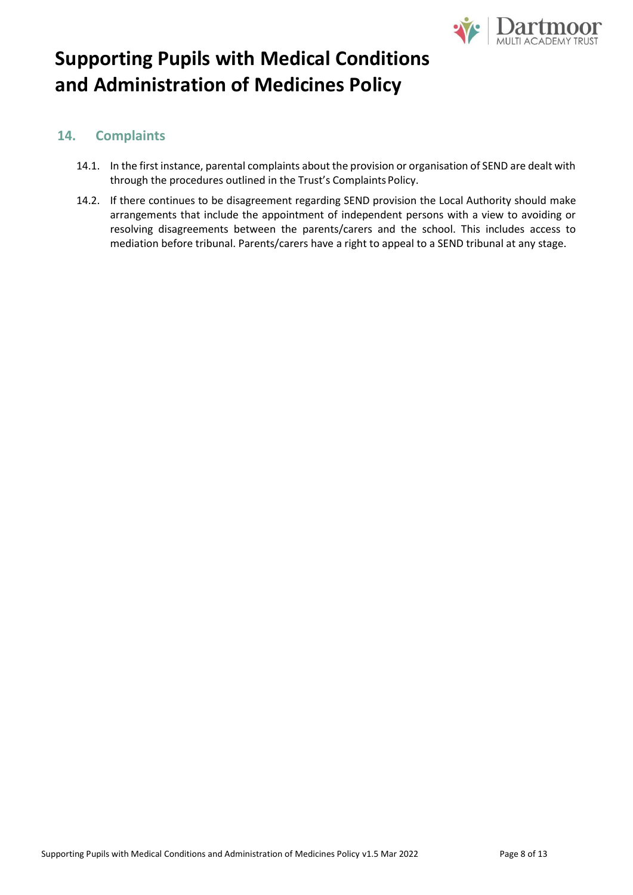

### **14. Complaints**

- 14.1. In the first instance, parental complaints about the provision or organisation of SEND are dealt with through the procedures outlined in the Trust's Complaints Policy.
- 14.2. If there continues to be disagreement regarding SEND provision the Local Authority should make arrangements that include the appointment of independent persons with a view to avoiding or resolving disagreements between the parents/carers and the school. This includes access to mediation before tribunal. Parents/carers have a right to appeal to a SEND tribunal at any stage.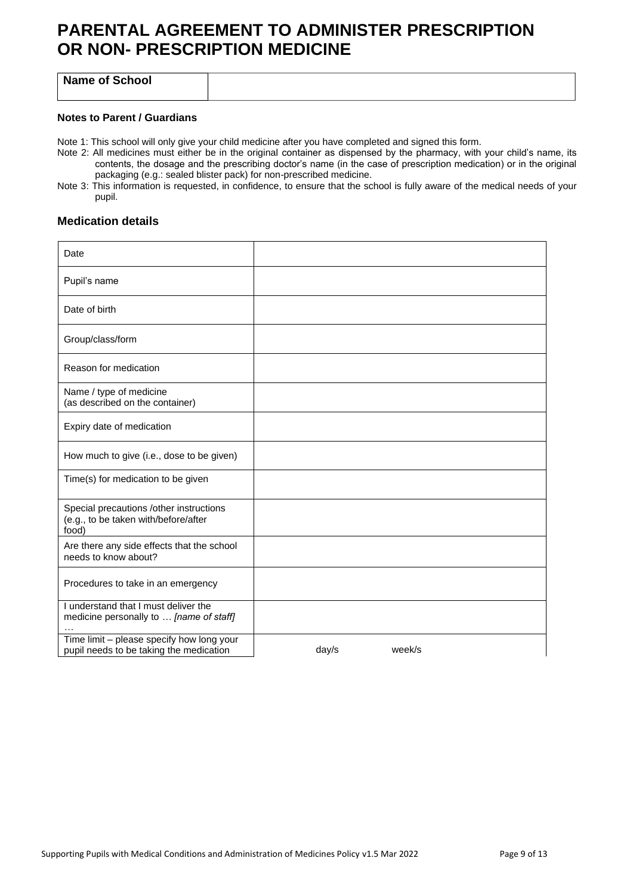### **PARENTAL AGREEMENT TO ADMINISTER PRESCRIPTION OR NON- PRESCRIPTION MEDICINE**

**Name of School**

#### **Notes to Parent / Guardians**

Note 1: This school will only give your child medicine after you have completed and signed this form.

- Note 2: All medicines must either be in the original container as dispensed by the pharmacy, with your child's name, its contents, the dosage and the prescribing doctor's name (in the case of prescription medication) or in the original packaging (e.g.: sealed blister pack) for non-prescribed medicine.
- Note 3: This information is requested, in confidence, to ensure that the school is fully aware of the medical needs of your pupil.

#### **Medication details**

| Date                                                                                     |                 |  |
|------------------------------------------------------------------------------------------|-----------------|--|
| Pupil's name                                                                             |                 |  |
| Date of birth                                                                            |                 |  |
| Group/class/form                                                                         |                 |  |
| Reason for medication                                                                    |                 |  |
| Name / type of medicine<br>(as described on the container)                               |                 |  |
| Expiry date of medication                                                                |                 |  |
| How much to give (i.e., dose to be given)                                                |                 |  |
| Time(s) for medication to be given                                                       |                 |  |
| Special precautions /other instructions<br>(e.g., to be taken with/before/after<br>food) |                 |  |
| Are there any side effects that the school<br>needs to know about?                       |                 |  |
| Procedures to take in an emergency                                                       |                 |  |
| I understand that I must deliver the<br>medicine personally to  [name of staff]          |                 |  |
| Time limit - please specify how long your<br>pupil needs to be taking the medication     | day/s<br>week/s |  |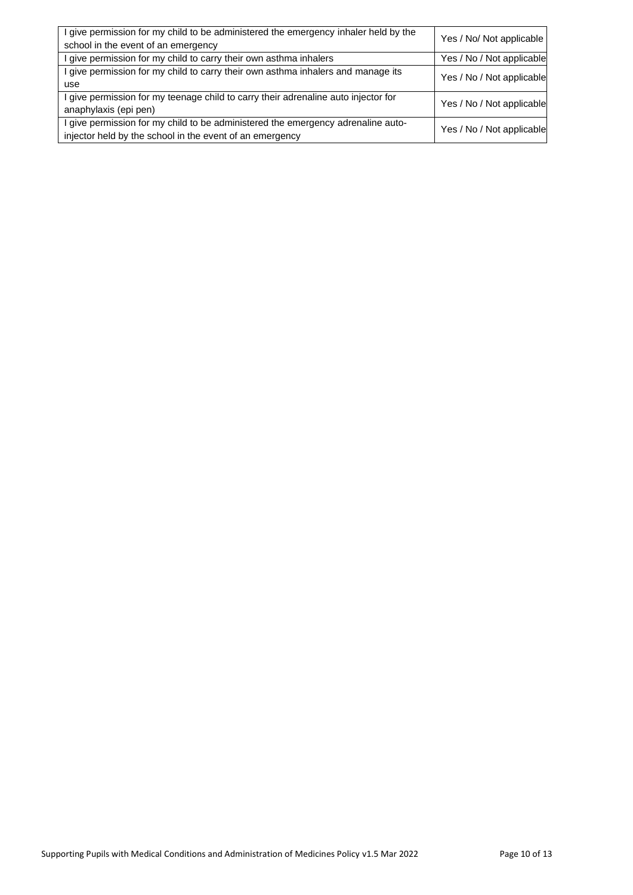| I give permission for my child to be administered the emergency inhaler held by the<br>school in the event of an emergency                   | Yes / No/ Not applicable  |
|----------------------------------------------------------------------------------------------------------------------------------------------|---------------------------|
| I give permission for my child to carry their own asthma inhalers                                                                            | Yes / No / Not applicable |
| I give permission for my child to carry their own asthma inhalers and manage its<br>use                                                      | Yes / No / Not applicable |
| I give permission for my teenage child to carry their adrenaline auto injector for<br>anaphylaxis (epi pen)                                  | Yes / No / Not applicable |
| I give permission for my child to be administered the emergency adrenaline auto-<br>injector held by the school in the event of an emergency | Yes / No / Not applicable |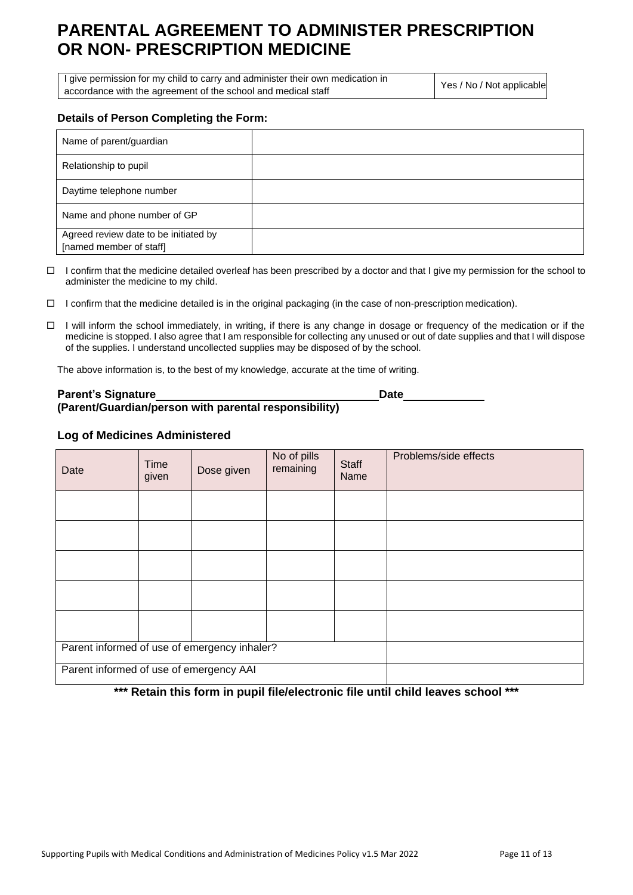### **PARENTAL AGREEMENT TO ADMINISTER PRESCRIPTION OR NON- PRESCRIPTION MEDICINE**

I give permission for my child to carry and administer their own medication in accordance with the agreement of the school and medical staff Yes / No / Not applicable

#### **Details of Person Completing the Form:**

| Name of parent/guardian                                          |  |
|------------------------------------------------------------------|--|
| Relationship to pupil                                            |  |
| Daytime telephone number                                         |  |
| Name and phone number of GP                                      |  |
| Agreed review date to be initiated by<br>[named member of staff] |  |

 $\Box$  I confirm that the medicine detailed overleaf has been prescribed by a doctor and that I give my permission for the school to administer the medicine to my child.

 $\Box$  I confirm that the medicine detailed is in the original packaging (in the case of non-prescription medication).

 $\Box$  I will inform the school immediately, in writing, if there is any change in dosage or frequency of the medication or if the medicine is stopped. I also agree that I am responsible for collecting any unused or out of date supplies and that I will dispose of the supplies. I understand uncollected supplies may be disposed of by the school.

The above information is, to the best of my knowledge, accurate at the time of writing.

#### **Parent's Signature Date (Parent/Guardian/person with parental responsibility)**

#### **Log of Medicines Administered**

| Date                                         | <b>Time</b><br>given | Dose given | No of pills<br>remaining | <b>Staff</b><br>Name | Problems/side effects |
|----------------------------------------------|----------------------|------------|--------------------------|----------------------|-----------------------|
|                                              |                      |            |                          |                      |                       |
|                                              |                      |            |                          |                      |                       |
|                                              |                      |            |                          |                      |                       |
|                                              |                      |            |                          |                      |                       |
|                                              |                      |            |                          |                      |                       |
| Parent informed of use of emergency inhaler? |                      |            |                          |                      |                       |
| Parent informed of use of emergency AAI      |                      |            |                          |                      |                       |

**\*\*\* Retain this form in pupil file/electronic file until child leaves school \*\*\***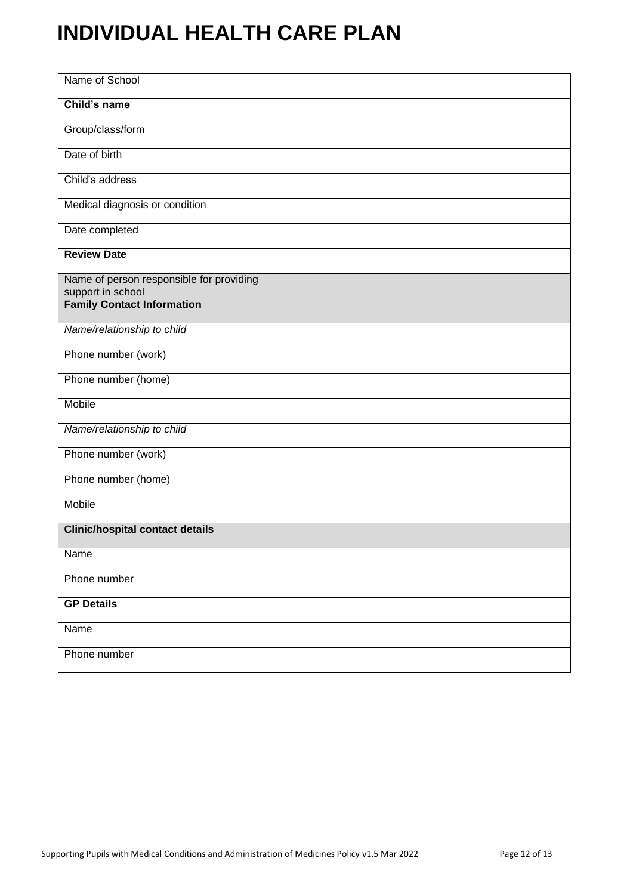# **INDIVIDUAL HEALTH CARE PLAN**

| Name of School                                                |  |
|---------------------------------------------------------------|--|
| Child's name                                                  |  |
| Group/class/form                                              |  |
| Date of birth                                                 |  |
| Child's address                                               |  |
| Medical diagnosis or condition                                |  |
| Date completed                                                |  |
| <b>Review Date</b>                                            |  |
| Name of person responsible for providing<br>support in school |  |
| <b>Family Contact Information</b>                             |  |
| Name/relationship to child                                    |  |
| Phone number (work)                                           |  |
| Phone number (home)                                           |  |
| Mobile                                                        |  |
| Name/relationship to child                                    |  |
| Phone number (work)                                           |  |
| Phone number (home)                                           |  |
| Mobile                                                        |  |
| <b>Clinic/hospital contact details</b>                        |  |
| Name                                                          |  |
| Phone number                                                  |  |
| <b>GP Details</b>                                             |  |
| <b>Name</b>                                                   |  |
| Phone number                                                  |  |